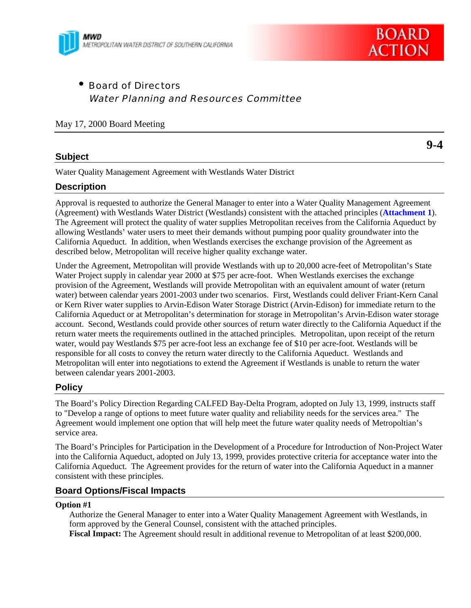



• Board of Directors Water Planning and Resources Committee

## May 17, 2000 Board Meeting

## **Subject**

**9-4**

Water Quality Management Agreement with Westlands Water District

## **Description**

Approval is requested to authorize the General Manager to enter into a Water Quality Management Agreement (Agreement) with Westlands Water District (Westlands) consistent with the attached principles (**Attachment 1**). The Agreement will protect the quality of water supplies Metropolitan receives from the California Aqueduct by allowing Westlands' water users to meet their demands without pumping poor quality groundwater into the California Aqueduct. In addition, when Westlands exercises the exchange provision of the Agreement as described below, Metropolitan will receive higher quality exchange water.

Under the Agreement, Metropolitan will provide Westlands with up to 20,000 acre-feet of Metropolitan's State Water Project supply in calendar year 2000 at \$75 per acre-foot. When Westlands exercises the exchange provision of the Agreement, Westlands will provide Metropolitan with an equivalent amount of water (return water) between calendar years 2001-2003 under two scenarios. First, Westlands could deliver Friant-Kern Canal or Kern River water supplies to Arvin-Edison Water Storage District (Arvin-Edison) for immediate return to the California Aqueduct or at Metropolitan's determination for storage in Metropolitan's Arvin-Edison water storage account. Second, Westlands could provide other sources of return water directly to the California Aqueduct if the return water meets the requirements outlined in the attached principles. Metropolitan, upon receipt of the return water, would pay Westlands \$75 per acre-foot less an exchange fee of \$10 per acre-foot. Westlands will be responsible for all costs to convey the return water directly to the California Aqueduct. Westlands and Metropolitan will enter into negotiations to extend the Agreement if Westlands is unable to return the water between calendar years 2001-2003.

## **Policy**

The Board's Policy Direction Regarding CALFED Bay-Delta Program, adopted on July 13, 1999, instructs staff to "Develop a range of options to meet future water quality and reliability needs for the services area." The Agreement would implement one option that will help meet the future water quality needs of Metropoltian's service area.

The Board's Principles for Participation in the Development of a Procedure for Introduction of Non-Project Water into the California Aqueduct, adopted on July 13, 1999, provides protective criteria for acceptance water into the California Aqueduct. The Agreement provides for the return of water into the California Aqueduct in a manner consistent with these principles.

## **Board Options/Fiscal Impacts**

#### **Option #1**

Authorize the General Manager to enter into a Water Quality Management Agreement with Westlands, in form approved by the General Counsel, consistent with the attached principles. **Fiscal Impact:** The Agreement should result in additional revenue to Metropolitan of at least \$200,000.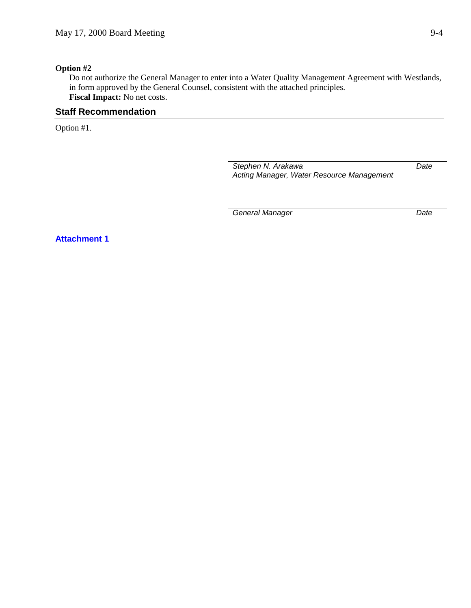## **Option #2**

Do not authorize the General Manager to enter into a Water Quality Management Agreement with Westlands, in form approved by the General Counsel, consistent with the attached principles. **Fiscal Impact:** No net costs.

# **Staff Recommendation**

Option #1.

*Stephen N. Arakawa Acting Manager, Water Resource Management*

**General Manager** Date

*Date*

**Attachment 1**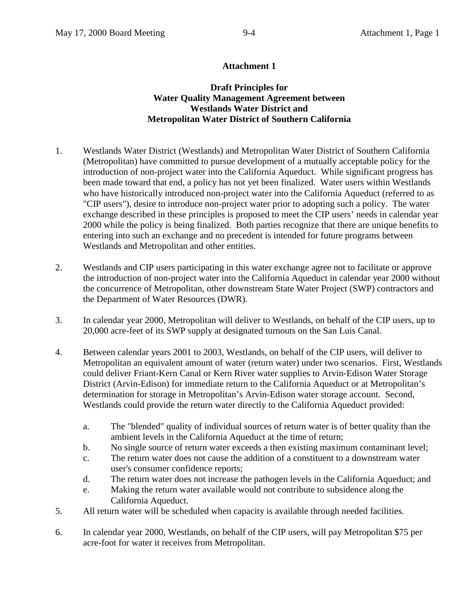# **Attachment 1**

# **Draft Principles for Water Quality Management Agreement between Westlands Water District and Metropolitan Water District of Southern California**

- 1. Westlands Water District (Westlands) and Metropolitan Water District of Southern California (Metropolitan) have committed to pursue development of a mutually acceptable policy for the introduction of non-project water into the California Aqueduct. While significant progress has been made toward that end, a policy has not yet been finalized. Water users within Westlands who have historically introduced non-project water into the California Aqueduct (referred to as "CIP users"), desire to introduce non-project water prior to adopting such a policy. The water exchange described in these principles is proposed to meet the CIP users' needs in calendar year 2000 while the policy is being finalized. Both parties recognize that there are unique benefits to entering into such an exchange and no precedent is intended for future programs between Westlands and Metropolitan and other entities.
- 2. Westlands and CIP users participating in this water exchange agree not to facilitate or approve the introduction of non-project water into the California Aqueduct in calendar year 2000 without the concurrence of Metropolitan, other downstream State Water Project (SWP) contractors and the Department of Water Resources (DWR).
- 3. In calendar year 2000, Metropolitan will deliver to Westlands, on behalf of the CIP users, up to 20,000 acre-feet of its SWP supply at designated turnouts on the San Luis Canal.
- 4. Between calendar years 2001 to 2003, Westlands, on behalf of the CIP users, will deliver to Metropolitan an equivalent amount of water (return water) under two scenarios. First, Westlands could deliver Friant-Kern Canal or Kern River water supplies to Arvin-Edison Water Storage District (Arvin-Edison) for immediate return to the California Aqueduct or at Metropolitan's determination for storage in Metropolitan's Arvin-Edison water storage account. Second, Westlands could provide the return water directly to the California Aqueduct provided:
	- a. The "blended" quality of individual sources of return water is of better quality than the ambient levels in the California Aqueduct at the time of return;
	- b. No single source of return water exceeds a then existing maximum contaminant level;
	- c. The return water does not cause the addition of a constituent to a downstream water user's consumer confidence reports;
	- d. The return water does not increase the pathogen levels in the California Aqueduct; and
	- e. Making the return water available would not contribute to subsidence along the California Aqueduct.
- 5. All return water will be scheduled when capacity is available through needed facilities.
- 6. In calendar year 2000, Westlands, on behalf of the CIP users, will pay Metropolitan \$75 per acre-foot for water it receives from Metropolitan.